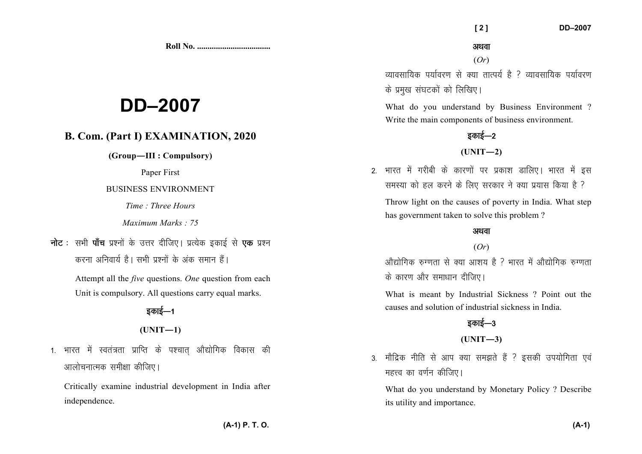**Roll No. ...................................** 

# **DD–2007**

# **B. Com. (Part I) EXAMINATION, 2020**

**(Group—III : Compulsory)** 

Paper First

#### BUSINESS ENVIRONMENT

*Time : Three Hours* 

*Maximum Marks : 75*

**नोट** : सभी **पॉच** प्रश्नों के उत्तर दीजिए। प्रत्येक इकाई से **एक** प्रश्न करना अनिवार्य है। सभी पश्नों के अंक समान हैं।

> Attempt all the *five* questions. *One* question from each Unit is compulsory. All questions carry equal marks.

> > डकाई—1  $(UNIT-1)$

1. भारत में स्वतंत्रता प्राप्ति के पश्चात औद्योगिक विकास की आलोचनात्मक समीक्षा कीजिए।

Critically examine industrial development in India after independence.

 **[ 2 ] DD–2007** 

(*Or*)

व्यावसायिक पर्यावरण से क्या तात्पर्य है ? व्यावसायिक पर्यावरण के प्रमुख संघटकों को लिखिए।

What do you understand by Business Environment ? Write the main components of business environment.

# डकाई $-2$

#### $(UNIT-2)$

2. भारत में गरीबी के कारणों पर प्रकाश डालिए। भारत में इस समस्या को हल करने के लिए सरकार ने क्या प्रयास किया है ?

Throw light on the causes of poverty in India. What step has government taken to solve this problem ?

#### अथवा

#### (*Or*)

 $\frac{1}{2}$ औद्योगिक रुग्णता से क्या आशय है ? भारत में औद्योगिक रुग्णता के कारण और समाधान दीजिए।

What is meant by Industrial Sickness ? Point out the causes and solution of industrial sickness in India.

# डकाई—3

#### **(UNIT—3)**

3. मौद्रिक नीति से आप क्या समझते हैं ? इसकी उपयोगिता एवं महत्त्व का वर्णन कीजिए।

What do you understand by Monetary Policy ? Describe its utility and importance.

**(A-1) P. T. O.**